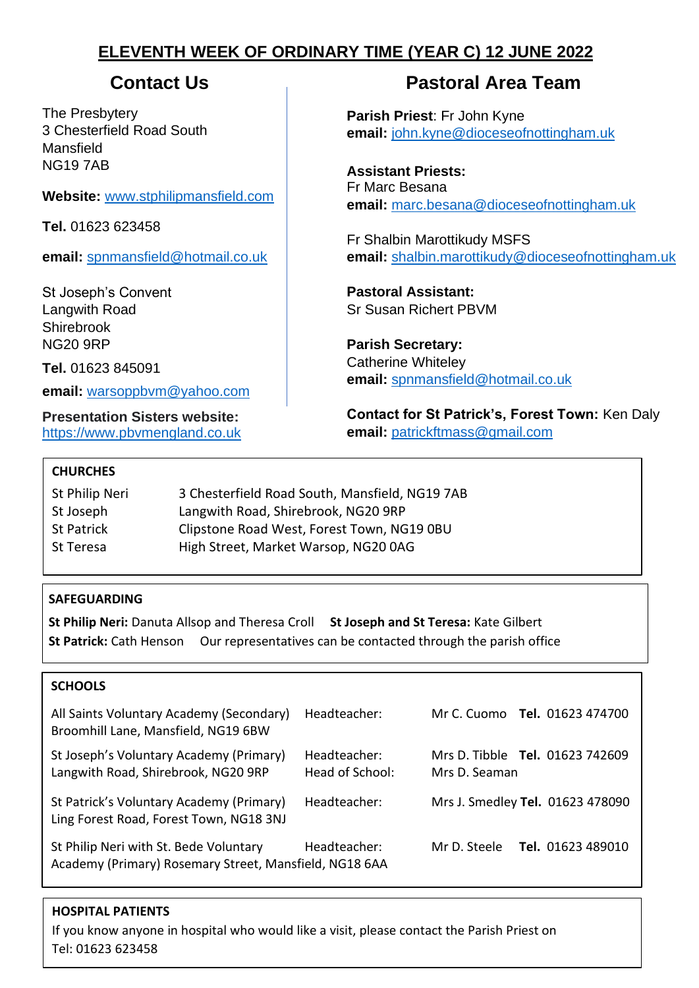# **ELEVENTH WEEK OF ORDINARY TIME (YEAR C) 12 JUNE 2022**

The Presbytery 3 Chesterfield Road South Mansfield NG19 7AB

**Website:** [www.stphilipmansfield.com](http://www.stphilipmansfield.com/)

**Tel.** 01623 623458

**email:** [spnmansfield@hotmail.co.uk](mailto:spnmansfield@hotmail.co.uk)

St Joseph's Convent Langwith Road Shirebrook NG20 9RP

**Tel.** 01623 845091

**email:** [warsoppbvm@yahoo.com](mailto:warsoppbvm@yahoo.com)

**Presentation Sisters website:** [https://www.pbvmengland.co.uk](https://www.pbvmengland.co.uk/)

# **Contact Us Contact Us Pastoral Area Team**

**Parish Priest**: Fr John Kyne **email:** [john.kyne@dioceseofnottingham.uk](mailto:john.kyne@dioceseofnottingham.uk)

**Assistant Priests:** Fr Marc Besana **email:** [marc.besana@dioceseofnottingham.uk](mailto:marc.besana@dioceseofnottingham.uk)

Fr Shalbin Marottikudy MSFS **email:** [shalbin.marottikudy@dioceseofnottingham.uk](mailto:shalbin.marottikudy@dioceseofnottingham.uk)

**Pastoral Assistant:** Sr Susan Richert PBVM

**Parish Secretary:** Catherine Whiteley **email:** [spnmansfield@hotmail.co.uk](mailto:spnmansfield@hotmail.co.uk)

**Contact for St Patrick's, Forest Town:** Ken Daly **email:** [patrickftmass@gmail.com](mailto:patrickftmass@gmail.com)

# **CHURCHES**

| St Philip Neri | 3 Chesterfield Road South, Mansfield, NG19 7AB |
|----------------|------------------------------------------------|
| St Joseph      | Langwith Road, Shirebrook, NG20 9RP            |
| St Patrick     | Clipstone Road West, Forest Town, NG19 0BU     |
| St Teresa      | High Street, Market Warsop, NG20 0AG           |

# **SAFEGUARDING**

**St Philip Neri:** Danuta Allsop and Theresa Croll **St Joseph and St Teresa:** Kate Gilbert **St Patrick:** Cath Henson Our representatives can be contacted through the parish office

# **SCHOOLS**

| All Saints Voluntary Academy (Secondary)<br>Broomhill Lane, Mansfield, NG19 6BW                  | Headteacher:                    | Mr C. Cuomo <b>Tel.</b> 01623 474700                    |
|--------------------------------------------------------------------------------------------------|---------------------------------|---------------------------------------------------------|
| St Joseph's Voluntary Academy (Primary)<br>Langwith Road, Shirebrook, NG20 9RP                   | Headteacher:<br>Head of School: | Mrs D. Tibble <b>Tel.</b> 01623 742609<br>Mrs D. Seaman |
| St Patrick's Voluntary Academy (Primary)<br>Ling Forest Road, Forest Town, NG18 3NJ              | Headteacher:                    | Mrs J. Smedley Tel. 01623 478090                        |
| St Philip Neri with St. Bede Voluntary<br>Academy (Primary) Rosemary Street, Mansfield, NG18 6AA | Headteacher:                    | <b>Tel.</b> 01623 489010<br>Mr D. Steele                |

# **HOSPITAL PATIENTS**

If you know anyone in hospital who would like a visit, please contact the Parish Priest on Tel: 01623 623458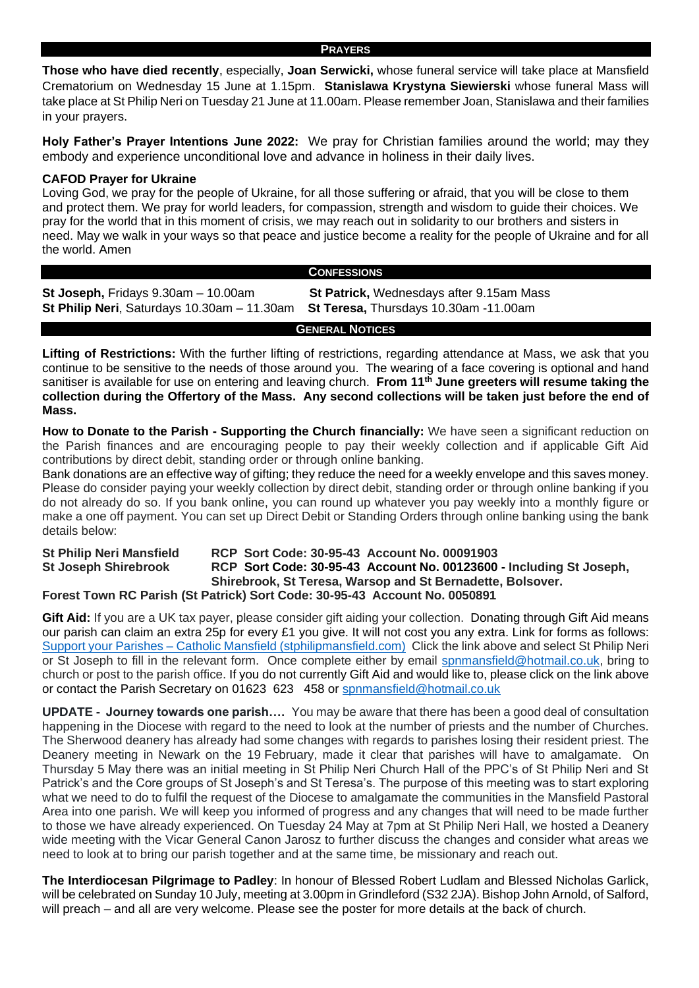#### **PRAYERS**

**Those who have died recently**, especially, **Joan Serwicki,** whose funeral service will take place at Mansfield Crematorium on Wednesday 15 June at 1.15pm. **Stanislawa Krystyna Siewierski** whose funeral Mass will take place at St Philip Neri on Tuesday 21 June at 11.00am. Please remember Joan, Stanislawa and their families in your prayers.

**Holy Father's Prayer Intentions June 2022:** We pray for Christian families around the world; may they embody and experience unconditional love and advance in holiness in their daily lives.

### **CAFOD Prayer for Ukraine**

Loving God, we pray for the people of Ukraine, for all those suffering or afraid, that you will be close to them and protect them. We pray for world leaders, for compassion, strength and wisdom to guide their choices. We pray for the world that in this moment of crisis, we may reach out in solidarity to our brothers and sisters in need. May we walk in your ways so that peace and justice become a reality for the people of Ukraine and for all the world. Amen

|                                                                                                                               | <b>CONFESSIONS</b>                       |
|-------------------------------------------------------------------------------------------------------------------------------|------------------------------------------|
| St Joseph, Fridays $9.30$ am $-10.00$ am<br>St Philip Neri, Saturdays 10.30am - 11.30am St Teresa, Thursdays 10.30am -11.00am | St Patrick, Wednesdays after 9.15am Mass |

**GENERAL NOTICES**

**Lifting of Restrictions:** With the further lifting of restrictions, regarding attendance at Mass, we ask that you continue to be sensitive to the needs of those around you. The wearing of a face covering is optional and hand sanitiser is available for use on entering and leaving church. **From 11th June greeters will resume taking the collection during the Offertory of the Mass. Any second collections will be taken just before the end of Mass.**

**How to Donate to the Parish - Supporting the Church financially:** We have seen a significant reduction on the Parish finances and are encouraging people to pay their weekly collection and if applicable Gift Aid contributions by direct debit, standing order or through online banking.

Bank donations are an effective way of gifting; they reduce the need for a weekly envelope and this saves money. Please do consider paying your weekly collection by direct debit, standing order or through online banking if you do not already do so. If you bank online, you can round up whatever you pay weekly into a monthly figure or make a one off payment. You can set up Direct Debit or Standing Orders through online banking using the bank details below:

#### **St Philip Neri Mansfield RCP Sort Code: 30-95-43 Account No. 00091903 St Joseph Shirebrook RCP Sort Code: 30-95-43 Account No. 00123600 - Including St Joseph, Shirebrook, St Teresa, Warsop and St Bernadette, Bolsover. Forest Town RC Parish (St Patrick) Sort Code: 30-95-43 Account No. 0050891**

**Gift Aid:** If you are a UK tax payer, please consider gift aiding your collection. Donating through Gift Aid means our parish can claim an extra 25p for every £1 you give. It will not cost you any extra. Link for forms as follows: Support your Parishes – [Catholic Mansfield \(stphilipmansfield.com\)](http://www.stphilipmansfield.com/support-the-parishes/) Click the link above and select St Philip Neri or St Joseph to fill in the relevant form. Once complete either by email [spnmansfield@hotmail.co.uk,](mailto:spnmansfield@hotmail.co.uk) bring to church or post to the parish office. If you do not currently Gift Aid and would like to, please click on the link above or contact the Parish Secretary on 01623 623 458 or [spnmansfield@hotmail.co.uk](mailto:spnmansfield@hotmail.co.uk)

**UPDATE - Journey towards one parish….** You may be aware that there has been a good deal of consultation happening in the Diocese with regard to the need to look at the number of priests and the number of Churches. The Sherwood deanery has already had some changes with regards to parishes losing their resident priest. The Deanery meeting in Newark on the 19 February, made it clear that parishes will have to amalgamate. On Thursday 5 May there was an initial meeting in St Philip Neri Church Hall of the PPC's of St Philip Neri and St Patrick's and the Core groups of St Joseph's and St Teresa's. The purpose of this meeting was to start exploring what we need to do to fulfil the request of the Diocese to amalgamate the communities in the Mansfield Pastoral Area into one parish. We will keep you informed of progress and any changes that will need to be made further to those we have already experienced. On Tuesday 24 May at 7pm at St Philip Neri Hall, we hosted a Deanery wide meeting with the Vicar General Canon Jarosz to further discuss the changes and consider what areas we need to look at to bring our parish together and at the same time, be missionary and reach out.

**The Interdiocesan Pilgrimage to Padley**: In honour of Blessed Robert Ludlam and Blessed Nicholas Garlick, will be celebrated on Sunday 10 July, meeting at 3.00pm in Grindleford (S32 2JA). Bishop John Arnold, of Salford, will preach – and all are very welcome. Please see the poster for more details at the back of church.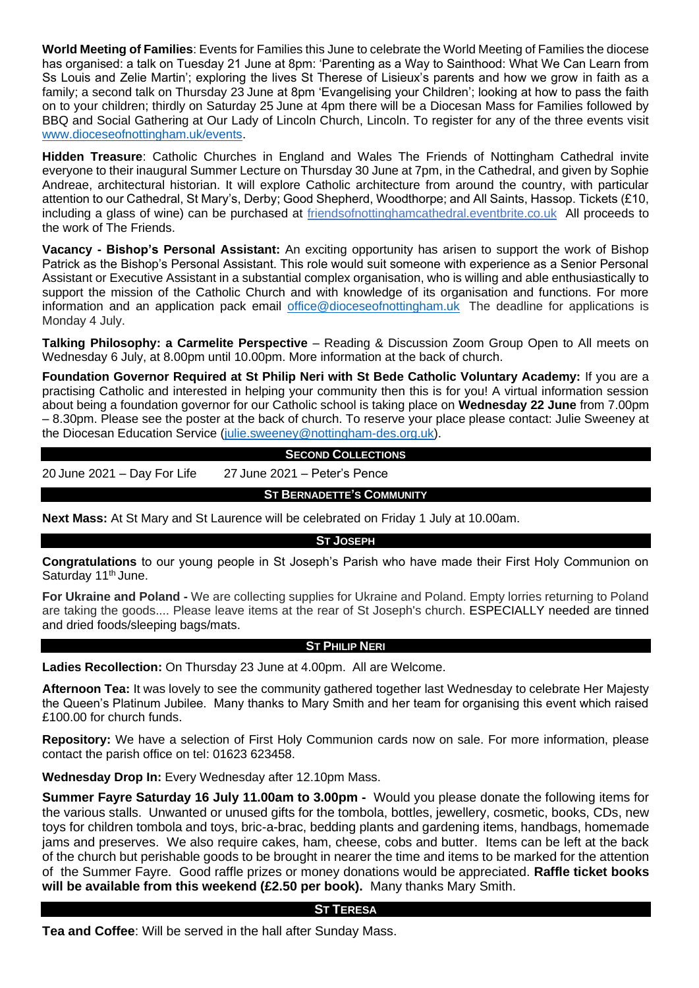**World Meeting of Families**: Events for Families this June to celebrate the World Meeting of Families the diocese has organised: a talk on Tuesday 21 June at 8pm: 'Parenting as a Way to Sainthood: What We Can Learn from Ss Louis and Zelie Martin'; exploring the lives St Therese of Lisieux's parents and how we grow in faith as a family; a second talk on Thursday 23 June at 8pm 'Evangelising your Children'; looking at how to pass the faith on to your children; thirdly on Saturday 25 June at 4pm there will be a Diocesan Mass for Families followed by BBQ and Social Gathering at Our Lady of Lincoln Church, Lincoln. To register for any of the three events visit [www.dioceseofnottingham.uk/events.](http://www.dioceseofnottingham.uk/events)

**Hidden Treasure**: Catholic Churches in England and Wales The Friends of Nottingham Cathedral invite everyone to their inaugural Summer Lecture on Thursday 30 June at 7pm, in the Cathedral, and given by Sophie Andreae, architectural historian. It will explore Catholic architecture from around the country, with particular attention to our Cathedral, St Mary's, Derby; Good Shepherd, Woodthorpe; and All Saints, Hassop. Tickets (£10, including a glass of wine) can be purchased at friendsofnottinghamcathedral.eventbrite.co.uk All proceeds to the work of The Friends.

**Vacancy - Bishop's Personal Assistant:** An exciting opportunity has arisen to support the work of Bishop Patrick as the Bishop's Personal Assistant. This role would suit someone with experience as a Senior Personal Assistant or Executive Assistant in a substantial complex organisation, who is willing and able enthusiastically to support the mission of the Catholic Church and with knowledge of its organisation and functions. For more information and an application pack email [office@dioceseofnottingham.uk](mailto:office@dioceseofnottingham.uk) The deadline for applications is Monday 4 July.

**Talking Philosophy: a Carmelite Perspective** – Reading & Discussion Zoom Group Open to All meets on Wednesday 6 July, at 8.00pm until 10.00pm. More information at the back of church.

**Foundation Governor Required at St Philip Neri with St Bede Catholic Voluntary Academy:** If you are a practising Catholic and interested in helping your community then this is for you! A virtual information session about being a foundation governor for our Catholic school is taking place on **Wednesday 22 June** from 7.00pm – 8.30pm. Please see the poster at the back of church. To reserve your place please contact: Julie Sweeney at the Diocesan Education Service [\(julie.sweeney@nottingham-des.org.uk\)](mailto:julie.sweeney@nottingham-des.org.uk).

## **SECOND COLLECTIONS**

20 June 2021 – Day For Life 27 June 2021 – Peter's Pence

#### **ST BERNADETTE'S COMMUNITY**

**Next Mass:** At St Mary and St Laurence will be celebrated on Friday 1 July at 10.00am.

**ST JOSEPH**

**Congratulations** to our young people in St Joseph's Parish who have made their First Holy Communion on Saturday 11<sup>th</sup> June.

**For Ukraine and Poland -** We are collecting supplies for Ukraine and Poland. Empty lorries returning to Poland are taking the goods.... Please leave items at the rear of St Joseph's church. ESPECIALLY needed are tinned and dried foods/sleeping bags/mats.

#### **ST PHILIP NERI**

**Ladies Recollection:** On Thursday 23 June at 4.00pm. All are Welcome.

**Afternoon Tea:** It was lovely to see the community gathered together last Wednesday to celebrate Her Majesty the Queen's Platinum Jubilee. Many thanks to Mary Smith and her team for organising this event which raised £100.00 for church funds.

**Repository:** We have a selection of First Holy Communion cards now on sale. For more information, please contact the parish office on tel: 01623 623458.

**Wednesday Drop In:** Every Wednesday after 12.10pm Mass.

**Summer Fayre Saturday 16 July 11.00am to 3.00pm -** Would you please donate the following items for the various stalls. Unwanted or unused gifts for the tombola, bottles, jewellery, cosmetic, books, CDs, new toys for children tombola and toys, bric-a-brac, bedding plants and gardening items, handbags, homemade jams and preserves. We also require cakes, ham, cheese, cobs and butter. Items can be left at the back of the church but perishable goods to be brought in nearer the time and items to be marked for the attention of the Summer Fayre. Good raffle prizes or money donations would be appreciated. **Raffle ticket books will be available from this weekend (£2.50 per book).** Many thanks Mary Smith.

### **ST TERESA**

**Tea and Coffee**: Will be served in the hall after Sunday Mass.